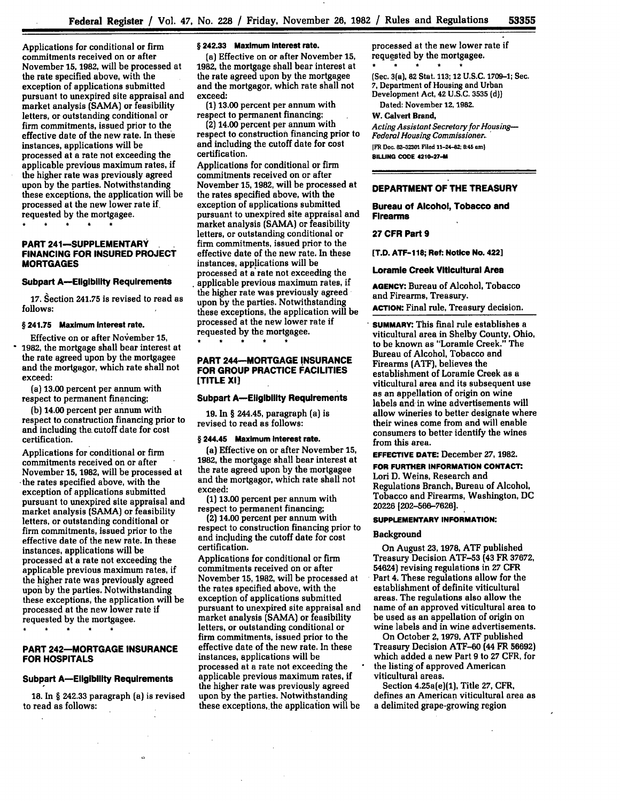Applications for conditional or firm commitments received on or after November **15, 1982,** will be processed at the rate specified above, with the exception of applications submitted pursuant to unexpired site appraisal and market analysis **(SAMA)** or feasibility letters, or outstanding conditional or **firm** commitments, issued prior to the effective date of the new rate. In these instances, applications will be processed at a rate not exceeding the applicable previous maximum rates, if the higher rate was previously agreed upon **by** the parties. Notwithstanding these exceptions, the application will be processed at the new lower rate **if.** requested **by** the mortgagee.

## **PART 241-SUPPLEMENTARY FINANCING FOR INSURED PROJECT MORTGAGES**

## **Subpart A-Eligibility Requirements**

**17.** Section 241.75 is revised to read as **follows:**

## **§ 241.75 Maximum Interest rate.**

Effective on or after November **15, 1982,** the mortgage shall bear interest at the rate agreed upon by the mortgagee and the mortgagor, which rate shall not exceed:

(a) **13.00** percent per annum with respect to permanent financing;

**(b)** 14.00 percent per annum with respect to construction financing prior to and including the. cutoff date for cost certification.

Applications for conditional or firm commitments received on or after November **15, 1982,** will be processed at -the rates specified above, with the exception of applications submitted pursuant to unexpired site appraisal and market analysis (SAMA) or feasibility letters, or outstanding conditional or firm commitments, issued prior to the effective date of the new rate. In these instances, applications will be processed at a rate not exceeding the applicable previous maximum rates, if the higher rate was previously agreed upoh by the parties. Notwithstanding these exceptions, the application will be processed at the new lower rate if requested by the mortgagee.

## **PART 242-MORTGAGE INSURANCE FOR HOSPITALS**

## **Subpart A-Eligibility Requirements**

**18.** In **§** 242.33 paragraph (a) is revised to read as follows:

 $\sim$ 

## **§ 242.33 Maximum Interest rate.**

(a) Effective on or after November **15,** 1982, the mortgage shall bear interest at the rate agreed upon **by** the mortgagee and the mortgagor, which rate shall not exceed:

**(1) 13.00** percent per annum with respect to permanent financing;

(2) 14.00 percent per annum with respect to construction financing prior to and including the cutoff date for cost certification.

Applications for conditional or firm commitments received on or after November **15, 1982,** will be processed at the rates specified above, with the exception of applications submitted pursuant to unexpired site appraisal and market analysis **(SAMA)** or feasibility letters, or outstanding conditional or firm commitments, issued prior to the effective date of the new rate. In these instances, applications will be processed at a rate not exceeding the applicable previous maximum rates, if the higher rate was previously agreed upon **by** the parties. Notwithstanding these exceptions, the application will be processed at the new lower rate if requested **by** the mortgagee.

## **PART 244-MORTGAGE !NSURANCE FOR GROUP PRACTICE FACILITIES [TITLE XI]**

## **Subpart A-Eligibility Requirements**

**19.** In § 244.45, paragraph (a) is revised to read as follows:

## **§ 244.45 Maximum Interest rate.**

(a) Effective on or after November **15, 1982,** the mortgage shall bear interest at the rate agreed upon **by** the mortgagee and the mortgagor, which rate shall not exceed:

**(1) 13.00** percent per annum with respect to permanent financing;

(2) 14.00 percent per annum with respect to construction financing prior to and including the cutoff date for cost certification.

Applications for conditional or firm commitments received on or after November **15, 1982,** will be processed at the rates specified above, with the exception of applications submitted pursuant to unexpired site appraisal and market analysis **(SAMA)** or feasibility letters, or outstanding conditional or firm commitments, issued prior to the effective date of the new rate. In these instances, applications will be processed at a rate not exceeding the applicable previous maximum rates, if the higher rate was previously agreed upon **by** the parties. Notwithstanding these exceptions, the application will be processed at the new lower rate if requested **by** the mortgagee.

(Sec. 3(a), **82** Stat. **113;** 12 **U.S.C. 1709-1;** Sec. **7,** Department of Housing and Urban Development Act, 42 **U.S.C. 3535 (d))** Dated: November **12, 1982.**

W. Calvert Brand,

*Acting Assistant Secretary for Housing-Federal Housing Commissioner..* **[FR Doc. 82-32301 Filed 11-24-82; 8:45 am) SILUNG COOE 4210-27-M**

## **DEPARTMENT OF THE TREASURY**

**Bureau of Alcohol, Tobacco and Firearms**

## **27 CFR Part 9**

**[T.D. ATF-118; Ref: Notice No. 422]**

## **Loramle Creek Viticultural Area**

**AGENCY:** Bureau of **Alcohol,** Tobacco and Firearms, Treasury.

**ACTION:** Final rule, Treasury decision.

**SUMMARY:** This final rule establishes a viticultural area in Shelby County, Ohio, to be known as "Loramie Creek." The Bureau of Alcohol, Tobacco and Firearms (ATF), believes the establishment of Loramie Creek as a viticultural area and its subsequent use as an appellation of origin on wine labels and in wine advertisements will allow wineries to better designate where their wines come from and will enable consumers to better identify the wines from this area.

**EFFECTIVE DATE:** December **27, 1982.**

**FOR FURTHER INFORMATION CONTACT:** Lori **D.** Weins, Research and Regulations Branch, Bureau of Alcohol, Tobacco and Firearms, Washington, **DC 20226 [202-566-7626].**

### **SUPPLEMENTARY INFORMATION:**

## Background

On August **23, 1978, ATF** published Treasury Decision **ATF-53** (43 FR **37672,** 54624) revising regulations in **27** CFR Part 4. These regulations allow for the establishment of definite viticultural areas. The regulations also allow the name of an approved viticultural area to be used as an appellation of origin on wine labels and in wine advertisements.

On October **2, 1979, ATF** published Treasury Decision **ATF-60** (44 **FR 56692)** which added a new Part **9** to **27** CFR, for the listing of approved American viticultural areas.

Section 4.25a(e)(1), Title **27,** CFR, defines an American viticultural area as a delimited grape-growing region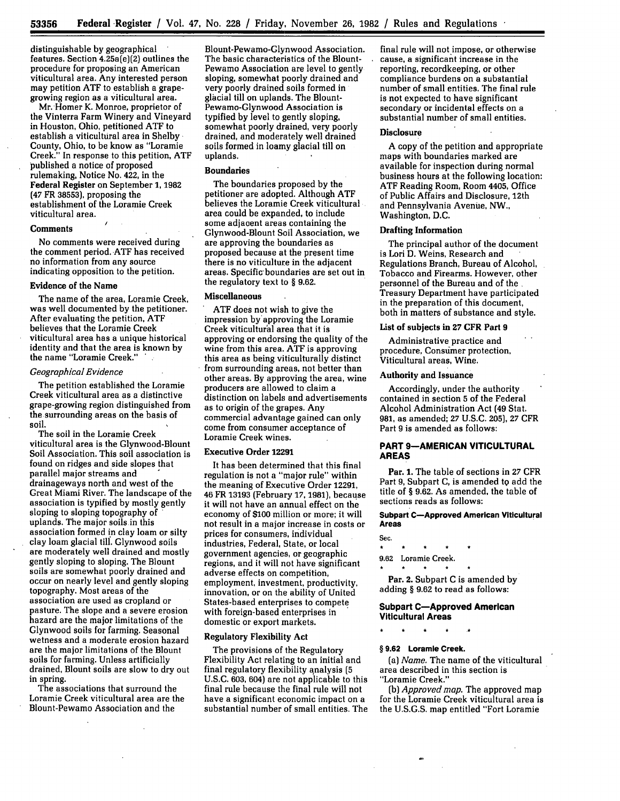distinguishable **by** geographical features. Section 4.25a(e)(2) outlines the procedure for proposing an American viticultural area. Any interested person may petition ATF to establish a grape-<br>growing region as a viticultural area.

Mr. Homer K. Monroe, proprietor of the Vinterra Farm Winery and Vineyard in Houston, Ohio, petitioned **ATF** to establish a viticultural area in Shelby County, Ohio, to be know as "Loramie Creek." In response to this petition, **ATF** published a notice of proposed rulemaking, Notice No. 422, in the Federal Register on September **1,** 1982 (47 FR **38553),** proposing the establishment of the Loramie Creek viticultural area.

## **Comments**

No comments were received during the comment period. ATF has received no information from any source indicating opposition to the petition.

## Evidence of the Name

The name of the area, Loramie Creek, was well documented **by** the petitioner. After evaluating the petition, **ATF** believes that the Loramie Creek viticultural area has a unique historical identity and that the area is known by the name "Loramie Creek."

## *Geographical Evidence*

The petition established the Loramie Creek viticultural area as a distinctive grape-growing region distinguished from the surrounding areas on the basis of soil.

The soil in the Loramie Creek viticultural area is the Glynwood-Blount Soil Association. This soil association is found on ridges and side slopes that parallel major streams and drainageways north and west of the Great Miami River. The landscape of the association is typified **by** mostly gently sloping to sloping topography of uplands. The major soils in this association formed in clay loam or silty clay loam glacial till. Glynwood soils are moderately well drained and mostly gently sloping to sloping. The Blount soils are somewhat poorly drained and occur on nearly level and gently sloping topography. Most areas of the association are used as cropland or pasture. The slope and a severe erosion hazard are the major limitations of the Glynwood soils for farming. Seasonal wetness and a moderate erosion hazard are the major limitations of the Blount soils for farming. Unless artificially drained, Blount soils are slow to dry out in spring.

The associations that surround the Loramie Creek viticultural area are the Blount-Pewamo Association and the

Blount-Pewamo-Glynwood Association. The basic characteristics of the Blount-Pewamo Association are level to gently sloping, somewhat poorly drained and very poorly drained soils formed in glacial till on uplands. The Blount-Pewamo-Glynwood Association is typified **by** level to gently sloping, somewhat poorly drained, very poorly drained, and moderately well drained soils formed in loamy glacial till on uplands.

## Boundaries

The boundaries proposed **by** the petitioner are adopted. Although ATF believes the Loramie Creek viticultural area could be expanded, to include some adjaoent areas containing the Glynwood-Blount Soil Association, we are approving the boundaries as proposed because at the present time there is no viticulture in the adjacent areas. Specific boundaries are set out in the regulatory text to § 9.62.

## Miscellaneous

ATF does not wish to give the impression by'approving the Loramie Creek viticultural area that it is approving or endorsing the quality of the wine from this area. ATF is approving this area as being viticulturally distinct from surrounding areas, not better than other areas. **By** approving the area, wine producers are allowed to claim a distinction on labels and advertisements as to origin of the grapes. Any commercial advantage gained can only come from consumer acceptance of Loramie Creek wines.

#### Executive Order **12291**

It has been determined that this final regulation is not a "major rule" within the meaning of Executive Order 12291, 46 FR 13193 (February **17,** 1981), because it will not have an annual effect on the economy of \$100 million or more; it will not result in a major increase in costs or prices for consumers, individual industries, Federal, State, or local government agencies, or geographic regions, and it will not have significant adverse effects on competition, employment, investment, productivity, innovation, or on the ability of United States-based enterprises to compete with foreign-based enterprises in domestic or export markets.

## Regulatory Flexibility Act

The provisions of the Regulatory Flexibility Act relating to an initial and final regulatory flexibility analysis **(5** U.S.C. **603,** 604) are not applicable to this final rule because the final rule will not have a significant economic impact on a substantial number of small entities. The final rule will not impose, or otherwise cause, a significant increase in the reporting, recordkeeping, or other compliance burdens on a substantial number of small entities. The final rule is not expected to have significant secondary or incidental effects on a substantial number of small entities.

## **Disclosure**

A copy of the petition and appropriate maps with boundaries marked are available for inspection during normal business hours at the following location: **ATF** Reading Room, Room 4405, Office of Public Affairs and Disclosure, 12th and Pennsylvania Avenue, NW., Washington, D.C.

## Drafting Information

The principal author of the document is Lori **D.** Weins, Research and Regulations Branch, Bureau of Alcohol, Tobacco and Firearms. However, other personnel of the Bureau and of the Treasury Department have participated in the preparation of this document, both in matters of substance and style.

### List of subjects in **27** CFR Part **9**

Administrative practice and procedure, Consumer protection, Viticultural areas, Wine.

## Authority and Issuance

Accordingly, under the authority contained in section **5** of the Federal Alcohol Administration Act (49 Stat. 981, as amended; **27** U.S.C. **205),** 27 CFR Part 9 is amended as follows:

## **PART 9-AMERICAN VITICULTURAL AREAS**

Par. **1.** The table of sections in 27 CFR Part 9, Subpart C, is amended to add the title of § 9.62. As amended, the table of sections reads as follows:

## **Subpart C-Approved American Viticultural Areas**

Sec.  $\ddot{\phantom{1}}$ **9.62** Loramie Creek.

Par. 2. Subpart **C** is amended **by** adding § **9.62** to read as follows:

## **Subpart C-Approved American Viticultural Areas**

## **§ 9.62 Loramle Creek.**

(a) *Name.* The name of the viticultural area described in this section is "Loramie Creek."

(b) *Approved map.* The approved map for the Loramie Creek viticultural area is the U.S.G.S. map entitled "Fort Loramie